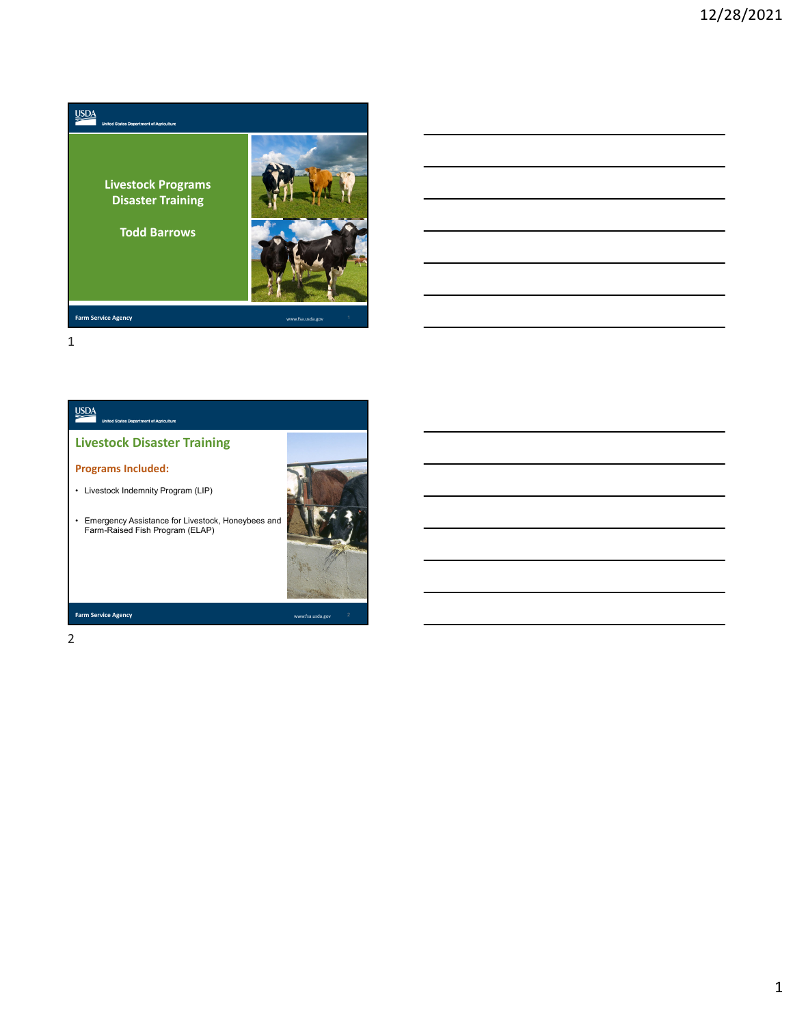



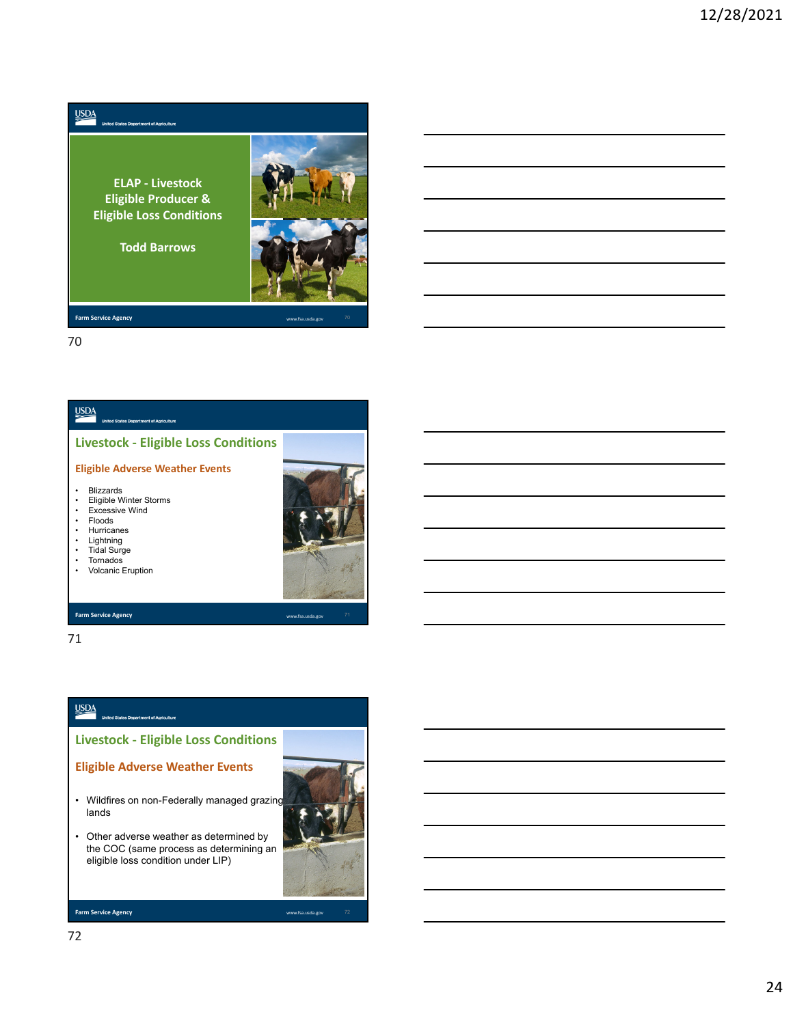**ELAP ‐ Livestock Eligible Producer & Eligible Loss Conditions**

.<br>Manazarta di Amerikano

**Todd Barrows**



**Farm Service Agency** 

 $\underline{\text{USDA}}$ 

70



#### **Farm Service Agency**

71

## $\underline{\text{USDA}}$

**Livestock ‐ Eligible Loss Conditions**

### **Eligible Adverse Weather Events**

- Wildfires on non-Federally managed grazing lands
- Other adverse weather as determined by the COC (same process as determining an eligible loss condition under LIP)

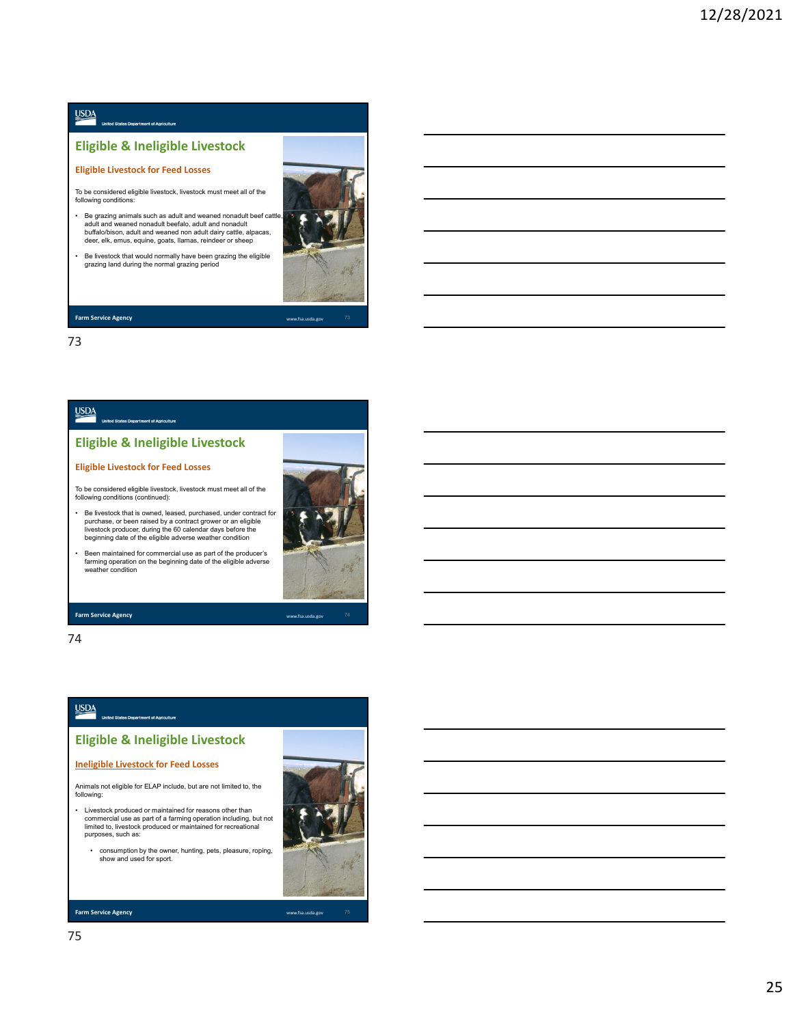# $\underline{\text{MSDA}}$

## **Eligible & Ineligible Livestock**

#### **Eligible Livestock for Feed Losses**

To be considered eligible livestock, livestock must meet all of the following conditions:

- Be grazing animals such as adult and weaned nonadult beef cattle, adult and weaned nonadult beefalo, adult and nonadult buffalo/bison, adult and weaned non adult dairy cattle, alpacas, deer, elk, emus, equine, goats, llamas, reindeer or sheep
- Be livestock that would normally have been grazing the eligible grazing land during the normal grazing period

73

# <u>USDA</u>

**Farm Service Agency** 

### **Eligible & Ineligible Livestock**

#### **Eligible Livestock for Feed Losses**

To be considered eligible livestock, livestock must meet all of the following conditions (continued):

• Be livestock that is owned, leased, purchased, under contract for purchase, or been raised by a contract grower or an eligible<br>livestock producer, during the 60 calendar days before the<br>beginning date of the eligible adverse weather condition

• Been maintained for commercial use as part of the producer's farming operation on the beginning date of the eligible adverse weather condition

**Farm Service Agency** 

74

# $\underline{\text{USDA}}$

## **Eligible & Ineligible Livestock**

#### **Ineligible Livestock for Feed Losses**

Animals not eligible for ELAP include, but are not limited to, the following:

- Livestock produced or maintained for reasons other than commercial use as part of a farming operation including, but not limited to, livestock produced or maintained for recreational purposes, such as:
- consumption by the owner, hunting, pets, pleasure, roping, show and used for sport.



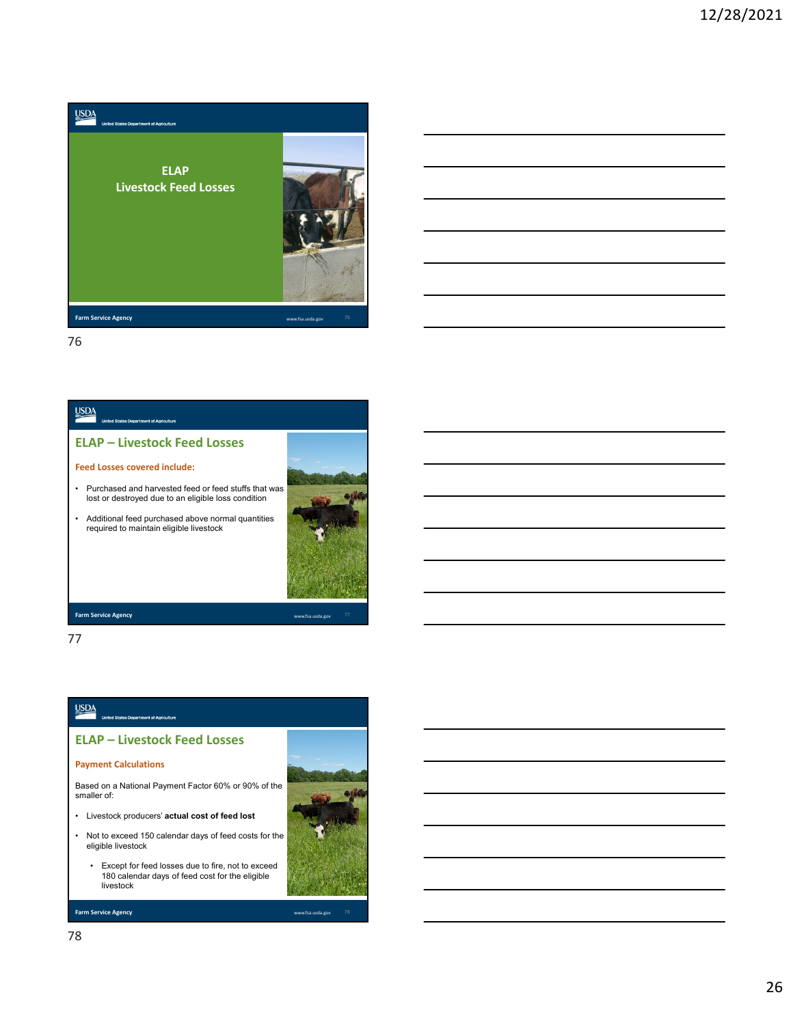





77

### $\underline{\text{USDA}}$

**ELAP – Livestock Feed Losses**

#### **Payment Calculations**

Based on a National Payment Factor 60% or 90% of the smaller of:

- Livestock producers' **actual cost of feed lost**
- Not to exceed 150 calendar days of feed costs for the eligible livestock
	- Except for feed losses due to fire, not to exceed 180 calendar days of feed cost for the eligible livestock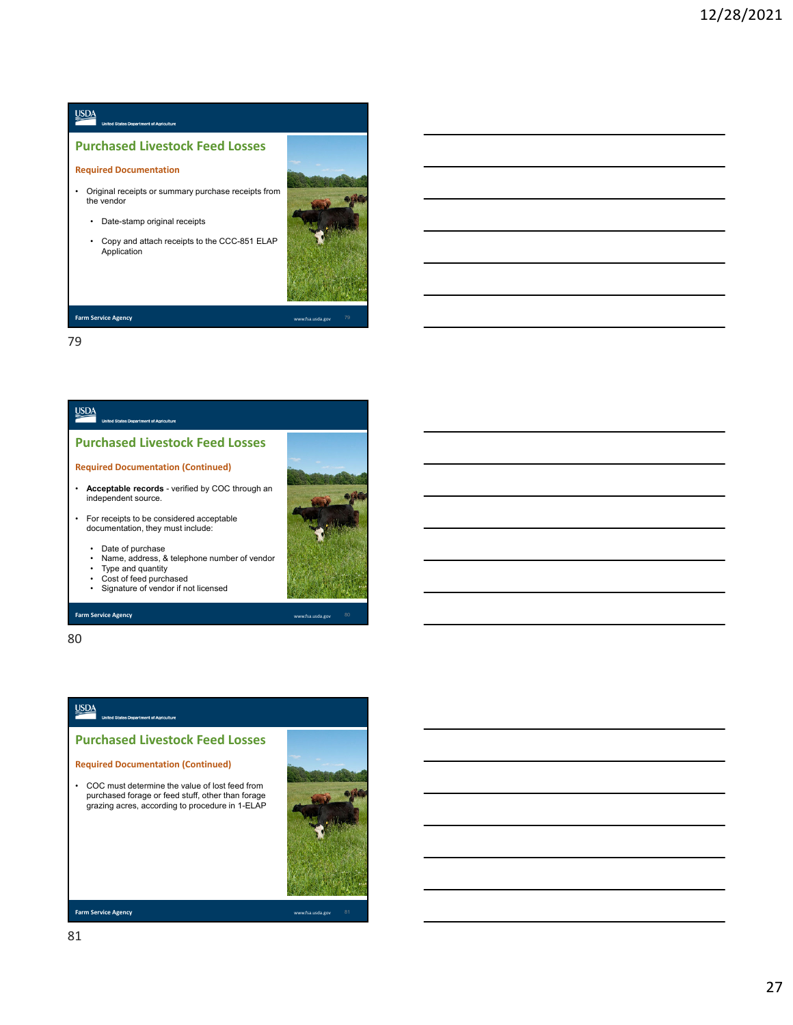# $\underline{\underline{\mathsf{USDA}}}$

## **Purchased Livestock Feed Losses**

#### **Required Documentation**

- Original receipts or summary purchase receipts from the vendor
	- Date-stamp original receipts
	- Copy and attach receipts to the CCC-851 ELAP Application



#### **Farm Service Agency**

79

## **USDA**

#### **Purchased Livestock Feed Losses**

#### **Required Documentation (Continued)**

- **Acceptable records**  verified by COC through an independent source.
- For receipts to be considered acceptable documentation, they must include:
	- Date of purchase
	- Name, address, & telephone number of vendor
	- Type and quantity Cost of feed purchased
	- Signature of vendor if not licensed
	-

#### **Farm Service Agency** www.fsa.usda.gov

80

## <u>USDA</u>

**Purchased Livestock Feed Losses**

#### **Required Documentation (Continued)**

• COC must determine the value of lost feed from purchased forage or feed stuff, other than forage grazing acres, according to procedure in 1-ELAP

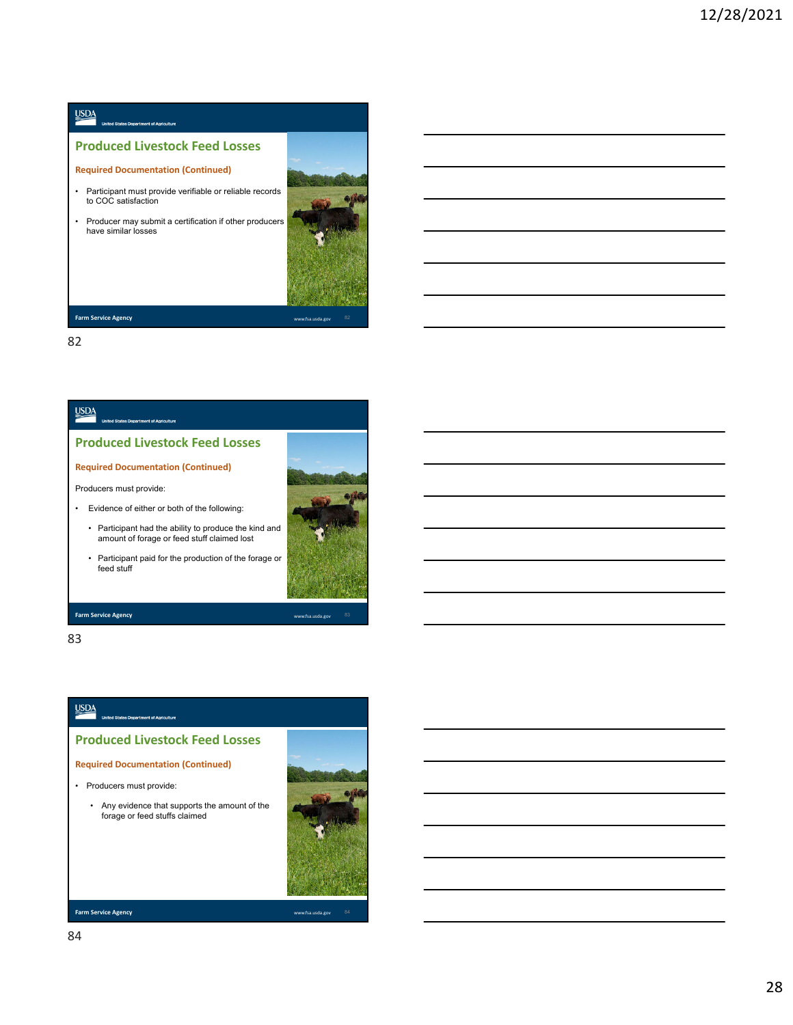# $\underline{\text{USDA}}$

## **Produced Livestock Feed Losses**

#### **Required Documentation (Continued)**

- Participant must provide verifiable or reliable records to COC satisfaction
- Producer may submit a certification if other producers have similar losses



**Farm Service Agency** 

82

## <u>USDA</u>

### **Produced Livestock Feed Losses**

#### **Required Documentation (Continued)**

#### Producers must provide:

- Evidence of either or both of the following:
	- Participant had the ability to produce the kind and amount of forage or feed stuff claimed lost
	- Participant paid for the production of the forage or feed stuff



#### **Farm Service Agency** www.fsa.usda.gov

83

## $\underline{\text{USDA}}$

**Produced Livestock Feed Losses**

**Required Documentation (Continued)**

• Producers must provide:



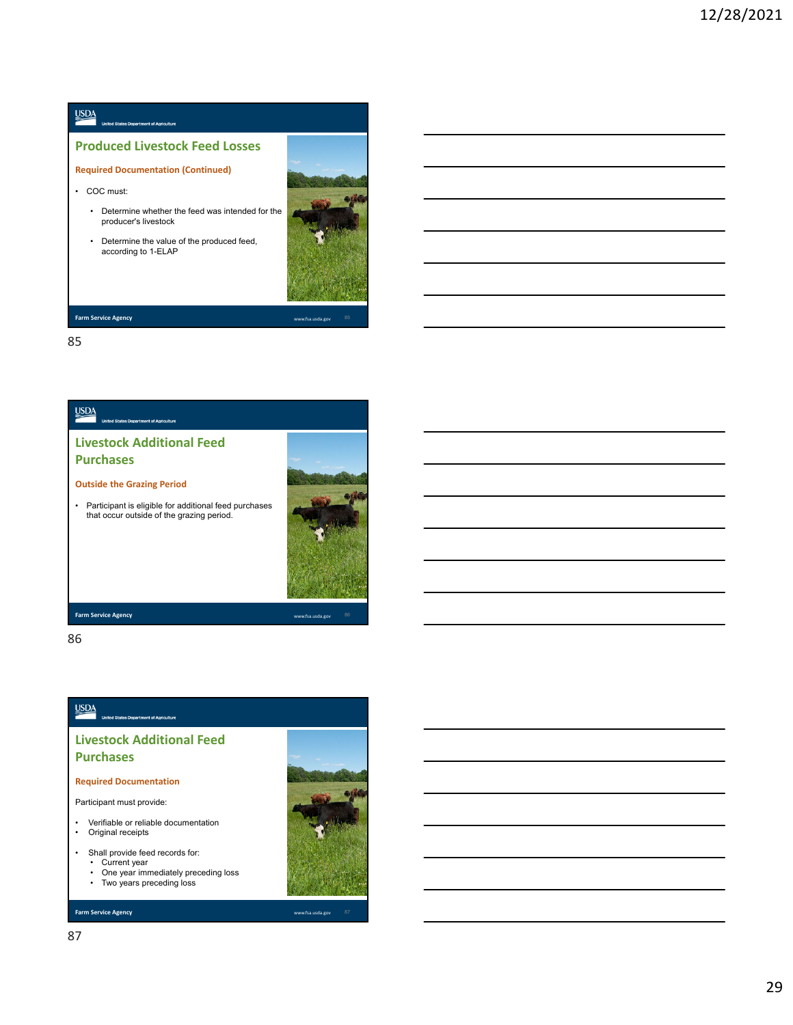# $\underline{\text{VSDA}}$ **Produced Livestock Feed Losses Required Documentation (Continued)**

• COC must:

- Determine whether the feed was intended for the producer's livestock
- Determine the value of the produced feed, according to 1-ELAP



**Farm Service Agency** 

85



86

## $\underline{\text{USDA}}$

**Livestock Additional Feed Purchases**

#### **Required Documentation**

Participant must provide:

- Verifiable or reliable documentation • Original receipts
- Shall provide feed records for:
	- Current year One year immediately preceding loss
	- Two years preceding loss

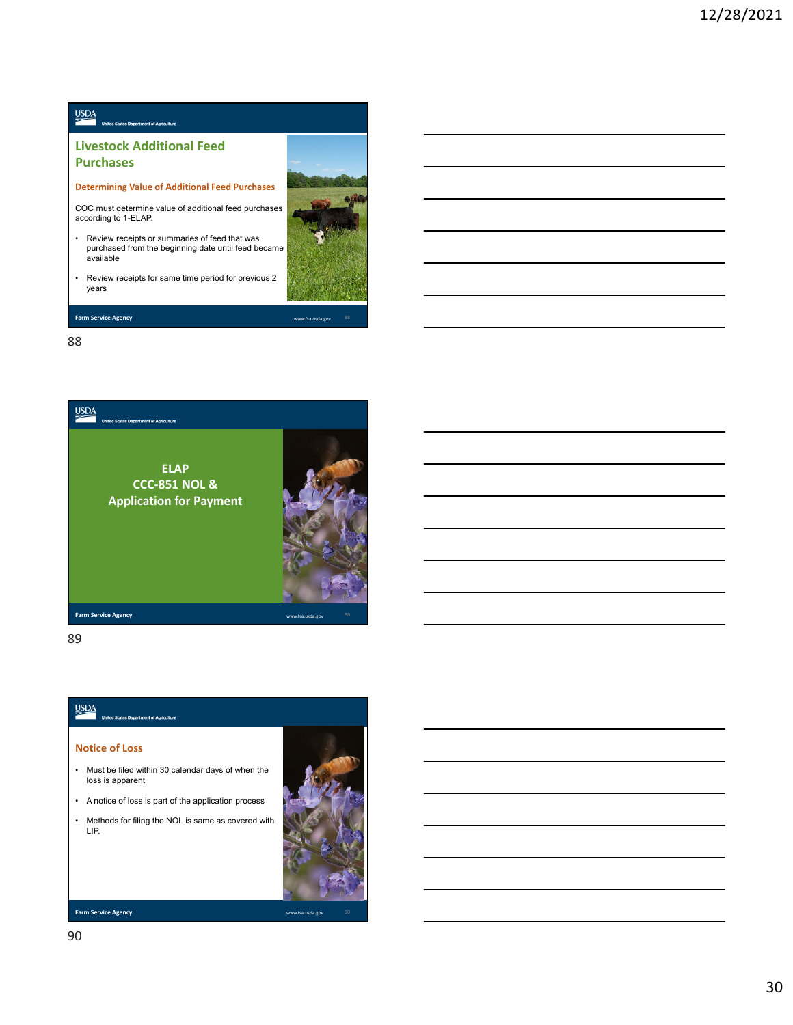## $\underline{\text{VSDA}}$

### **Livestock Additional Feed Purchases**

**Determining Value of Additional Feed Purchases**

COC must determine value of additional feed purchases according to 1-ELAP.

- Review receipts or summaries of feed that was purchased from the beginning date until feed became available
- Review receipts for same time period for previous 2 years

88

**Farm Service Agency** 



89

## $\underline{\text{USDA}}$

#### **Notice of Loss**

- Must be filed within 30 calendar days of when the loss is apparent
- A notice of loss is part of the application process
- Methods for filing the NOL is same as covered with LIP.